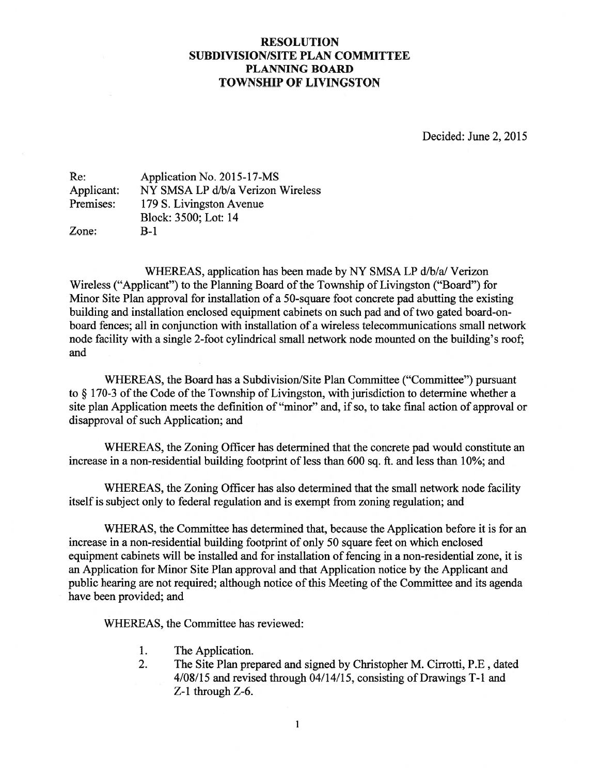## RESOLUTION SUBDIVISION/SITE PLAN COMMITTEE PLANNING BOARD TOWNSHIP OF LIVINGSTON

Decided: June 2, 2015

| Re:        | Application No. 2015-17-MS        |
|------------|-----------------------------------|
| Applicant: | NY SMSA LP d/b/a Verizon Wireless |
| Premises:  | 179 S. Livingston Avenue          |
|            | Block: 3500; Lot: 14              |
| Zone:      | $B-1$                             |

WHEREAS, application has been made by NY SMSA LP d/b/a/ Verizon Wireless ("Applicant") to the Planning Board of the Township of Livingston ("Board") for Minor Site Plan approval for installation of <sup>a</sup> 50-square foot concrete pad abutting the existing building and installation enclosed equipment cabinets on such pad and of two gated board-onboard fences; all in conjunction with installation of <sup>a</sup> wireless telecommunications small network node facility with <sup>a</sup> single 2-foot cylindrical small network node mounted on the building's roof and

WHEREAS, the Board has a Subdivision/Site Plan Committee ("Committee") pursuant to  $\S$  170-3 of the Code of the Township of Livingston, with jurisdiction to determine whether a site plan Application meets the definition of "minor" and, if so, to take final action of approval or disapproval of such Application; and

WHEREAS, the Zoning Officer has determined that the concrete pad would constitute an increase in <sup>a</sup> non-residential building footprint of less than 600 sq. ft. and less than 10%; and

WHEREAS, the Zoning Officer has also determined that the small network node facility itself is subject only to federal regulation and is exemp<sup>t</sup> from zoning regulation; and

WHERAS, the Committee has determined that, because the Application before it is for an increase in <sup>a</sup> non-residential building footprint of only 50 square feet on which enclosed equipment cabinets will be installed and for installation of fencing in <sup>a</sup> non-residential zone, it is an Application for Minor Site Plan approval and that Application notice by the Applicant and public hearing are not required; although notice of this Meeting of the Committee and its agenda have been provided; and

WHEREAS, the Committee has reviewed:

- 1. The Application.
- 2. The Site Plan prepared and signed by Christopher M. Cirrotti, P.E, dated 4/08/15 and revised through 04/14/15, consisting of Drawings T-i and Z-i through Z-6.